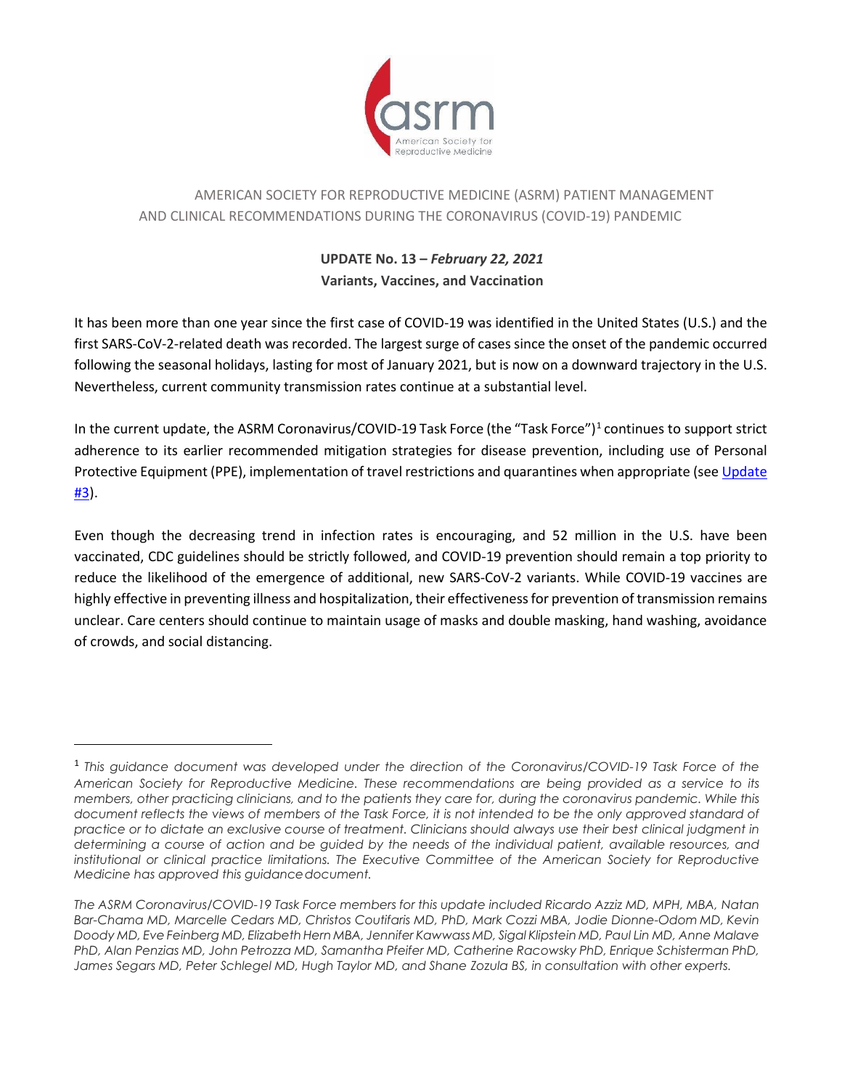

# AMERICAN SOCIETY FOR REPRODUCTIVE MEDICINE (ASRM) PATIENT MANAGEMENT AND CLINICAL RECOMMENDATIONS DURING THE CORONAVIRUS (COVID-19) PANDEMIC

## **UPDATE No. 13 –** *February 22, 2021* **Variants, Vaccines, and Vaccination**

It has been more than one year since the first case of COVID-19 was identified in the United States (U.S.) and the first SARS-CoV-2-related death was recorded. The largest surge of cases since the onset of the pandemic occurred following the seasonal holidays, lasting for most of January 2021, but is now on a downward trajectory in the U.S. Nevertheless, current community transmission rates continue at a substantial level.

In the current update, the ASRM Coronavirus/COVID-[1](#page-0-0)9 Task Force (the "Task Force")<sup>1</sup> continues to support strict adherence to its earlier recommended mitigation strategies for disease prevention, including use of Personal Protective Equipment (PPE), implementation of travel restrictions and quarantines when appropriate (see [Update](https://www.asrm.org/globalassets/asrm/asrm-content/news-and-publications/covid-19/covidtaskforceupdate3.pdf)  [#3\)](https://www.asrm.org/globalassets/asrm/asrm-content/news-and-publications/covid-19/covidtaskforceupdate3.pdf).

Even though the decreasing trend in infection rates is encouraging, and 52 million in the U.S. have been vaccinated, CDC guidelines should be strictly followed, and COVID-19 prevention should remain a top priority to reduce the likelihood of the emergence of additional, new SARS-CoV-2 variants. While COVID-19 vaccines are highly effective in preventing illness and hospitalization, their effectiveness for prevention of transmission remains unclear. Care centers should continue to maintain usage of masks and double masking, hand washing, avoidance of crowds, and social distancing.

<span id="page-0-0"></span><sup>1</sup> *This guidance document was developed under the direction of the Coronavirus/COVID-19 Task Force of the American Society for Reproductive Medicine. These recommendations are being provided as a service to its members, other practicing clinicians, and to the patients they care for, during the coronavirus pandemic. While this document reflects the views of members of the Task Force, it is not intended to be the only approved standard of practice or to dictate an exclusive course of treatment. Clinicians should always use their best clinical judgment in determining a course of action and be guided by the needs of the individual patient, available resources, and institutional or clinical practice limitations. The Executive Committee of the American Society for Reproductive Medicine has approved this guidancedocument.*

*The ASRM Coronavirus/COVID-19 Task Force members for this update included Ricardo Azziz MD, MPH, MBA, Natan Bar-Chama MD, Marcelle Cedars MD, Christos Coutifaris MD, PhD, Mark Cozzi MBA, Jodie Dionne-Odom MD, Kevin Doody MD, Eve Feinberg MD, ElizabethHern MBA, Jennifer Kawwass MD, Sigal Klipstein MD, Paul Lin MD, Anne Malave PhD, Alan Penzias MD, John Petrozza MD, Samantha Pfeifer MD, Catherine Racowsky PhD, Enrique Schisterman PhD, James Segars MD, Peter Schlegel MD, Hugh Taylor MD, and Shane Zozula BS, in consultation with other experts.*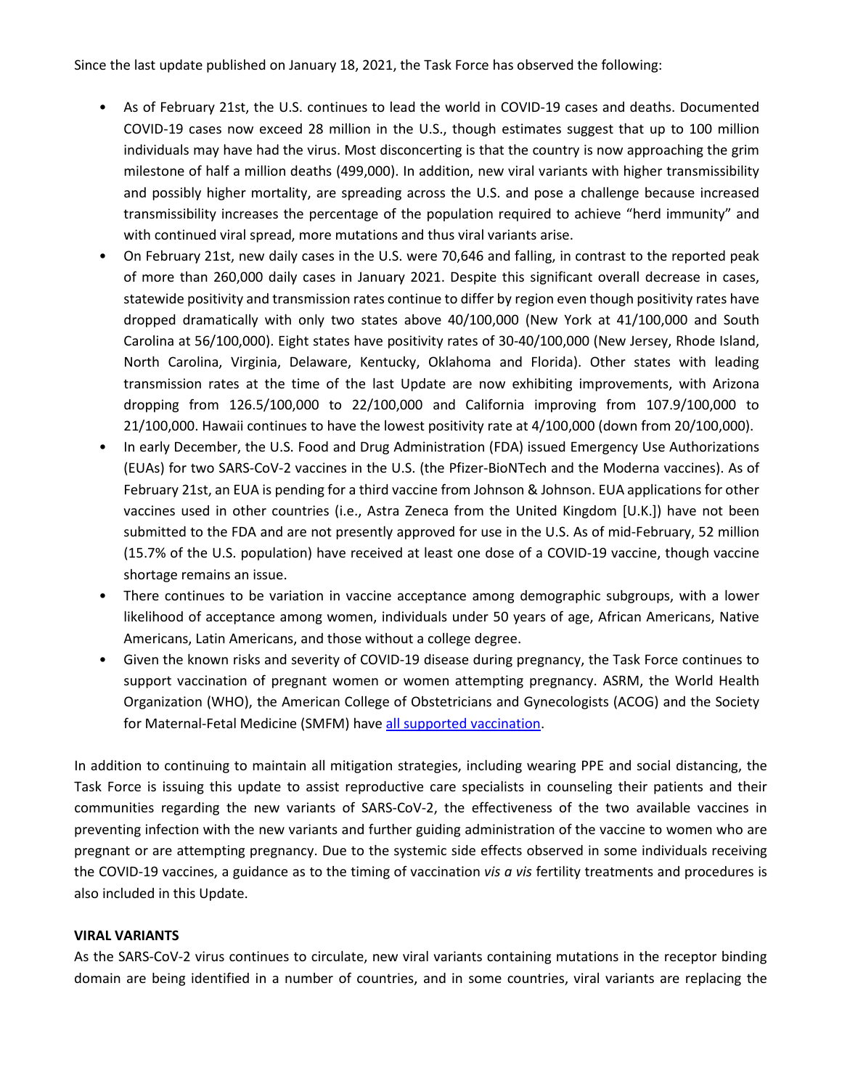Since the last update published on January 18, 2021, the Task Force has observed the following:

- As of February 21st, the U.S. continues to lead the world in COVID-19 cases and deaths. Documented COVID-19 cases now exceed 28 million in the U.S., though estimates suggest that up to 100 million individuals may have had the virus. Most disconcerting is that the country is now approaching the grim milestone of half a million deaths (499,000). In addition, new viral variants with higher transmissibility and possibly higher mortality, are spreading across the U.S. and pose a challenge because increased transmissibility increases the percentage of the population required to achieve "herd immunity" and with continued viral spread, more mutations and thus viral variants arise.
- On February 21st, new daily cases in the U.S. were 70,646 and falling, in contrast to the reported peak of more than 260,000 daily cases in January 2021. Despite this significant overall decrease in cases, statewide positivity and transmission rates continue to differ by region even though positivity rates have dropped dramatically with only two states above 40/100,000 (New York at 41/100,000 and South Carolina at 56/100,000). Eight states have positivity rates of 30-40/100,000 (New Jersey, Rhode Island, North Carolina, Virginia, Delaware, Kentucky, Oklahoma and Florida). Other states with leading transmission rates at the time of the last Update are now exhibiting improvements, with Arizona dropping from 126.5/100,000 to 22/100,000 and California improving from 107.9/100,000 to 21/100,000. Hawaii continues to have the lowest positivity rate at 4/100,000 (down from 20/100,000).
- In early December, the U.S. Food and Drug Administration (FDA) issued Emergency Use Authorizations (EUAs) for two SARS-CoV-2 vaccines in the U.S. (the Pfizer-BioNTech and the Moderna vaccines). As of February 21st, an EUA is pending for a third vaccine from Johnson & Johnson. EUA applications for other vaccines used in other countries (i.e., Astra Zeneca from the United Kingdom [U.K.]) have not been submitted to the FDA and are not presently approved for use in the U.S. As of mid-February, 52 million (15.7% of the U.S. population) have received at least one dose of a COVID-19 vaccine, though vaccine shortage remains an issue.
- There continues to be variation in vaccine acceptance among demographic subgroups, with a lower likelihood of acceptance among women, individuals under 50 years of age, African Americans, Native Americans, Latin Americans, and those without a college degree.
- Given the known risks and severity of COVID-19 disease during pregnancy, the Task Force continues to support vaccination of pregnant women or women attempting pregnancy. ASRM, the World Health Organization (WHO), the American College of Obstetricians and Gynecologists (ACOG) and the Society for Maternal-Fetal Medicine (SMFM) hav[e all supported vaccination.](https://www.asrm.org/news-and-publications/news-and-research/press-releases-and-bulletins/asrm-smfm-acog-issue-joint-statement-medical-experts-continue-to-assert-that-covid-vaccines-do-not-impact-fertility/)

In addition to continuing to maintain all mitigation strategies, including wearing PPE and social distancing, the Task Force is issuing this update to assist reproductive care specialists in counseling their patients and their communities regarding the new variants of SARS-CoV-2, the effectiveness of the two available vaccines in preventing infection with the new variants and further guiding administration of the vaccine to women who are pregnant or are attempting pregnancy. Due to the systemic side effects observed in some individuals receiving the COVID-19 vaccines, a guidance as to the timing of vaccination *vis a vis* fertility treatments and procedures is also included in this Update.

#### **VIRAL VARIANTS**

As the SARS-CoV-2 virus continues to circulate, new viral variants containing mutations in the receptor binding domain are being identified in a number of countries, and in some countries, viral variants are replacing the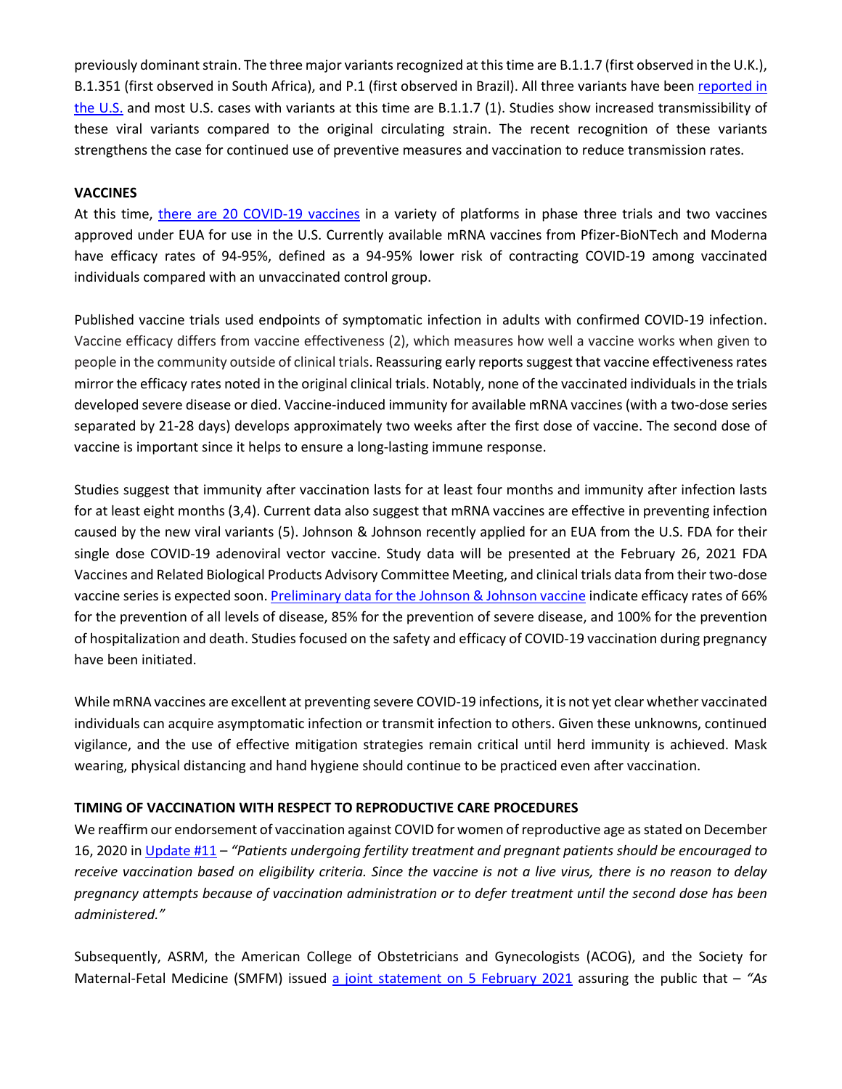previously dominant strain. The three major variants recognized at this time are B.1.1.7 (first observed in the U.K.), B.1.351 (first observed in South Africa), and P.1 (first observed in Brazil). All three variants have bee[n reported in](https://www.cdc.gov/coronavirus/2019-ncov/transmission/variant-cases.html)  [the U.S.](https://www.cdc.gov/coronavirus/2019-ncov/transmission/variant-cases.html) and most U.S. cases with variants at this time are B.1.1.7 (1). Studies show increased transmissibility of these viral variants compared to the original circulating strain. The recent recognition of these variants strengthens the case for continued use of preventive measures and vaccination to reduce transmission rates.

#### **VACCINES**

At this time, [there are 20 COVID-19 vaccines](https://www.nytimes.com/interactive/2020/science/coronavirus-vaccine-tracker.html) in a variety of platforms in phase three trials and two vaccines approved under EUA for use in the U.S. Currently available mRNA vaccines from Pfizer-BioNTech and Moderna have efficacy rates of 94-95%, defined as a 94-95% lower risk of contracting COVID-19 among vaccinated individuals compared with an unvaccinated control group.

Published vaccine trials used endpoints of symptomatic infection in adults with confirmed COVID-19 infection. Vaccine efficacy differs from vaccine effectiveness (2), which measures how well a vaccine works when given to people in the community outside of clinical trials. Reassuring early reports suggest that vaccine effectiveness rates mirror the efficacy rates noted in the original clinical trials. Notably, none of the vaccinated individuals in the trials developed severe disease or died. Vaccine-induced immunity for available mRNA vaccines (with a two-dose series separated by 21-28 days) develops approximately two weeks after the first dose of vaccine. The second dose of vaccine is important since it helps to ensure a long-lasting immune response.

Studies suggest that immunity after vaccination lasts for at least four months and immunity after infection lasts for at least eight months (3,4). Current data also suggest that mRNA vaccines are effective in preventing infection caused by the new viral variants (5). Johnson & Johnson recently applied for an EUA from the U.S. FDA for their single dose COVID-19 adenoviral vector vaccine. Study data will be presented at the February 26, 2021 FDA Vaccines and Related Biological Products Advisory Committee Meeting, and clinical trials data from their two-dose vaccine series is expected soon. [Preliminary data for the Johnson &](https://www.cidrap.umn.edu/news-perspective/2021/02/jj-covid-vaccine-heads-fda-emergency-use-decision) Johnson vaccine indicate efficacy rates of 66% for the prevention of all levels of disease, 85% for the prevention of severe disease, and 100% for the prevention of hospitalization and death. Studies focused on the safety and efficacy of COVID-19 vaccination during pregnancy have been initiated.

While mRNA vaccines are excellent at preventing severe COVID-19 infections, it is not yet clear whether vaccinated individuals can acquire asymptomatic infection or transmit infection to others. Given these unknowns, continued vigilance, and the use of effective mitigation strategies remain critical until herd immunity is achieved. Mask wearing, physical distancing and hand hygiene should continue to be practiced even after vaccination.

#### **TIMING OF VACCINATION WITH RESPECT TO REPRODUCTIVE CARE PROCEDURES**

We reaffirm our endorsement of vaccination against COVID for women of reproductive age as stated on December 16, 2020 i[n Update #11](https://www.asrm.org/globalassets/asrm/asrm-content/news-and-publications/covid-19/covidtaskforceupdate11.pdf) – *"Patients undergoing fertility treatment and pregnant patients should be encouraged to receive vaccination based on eligibility criteria. Since the vaccine is not a live virus, there is no reason to delay pregnancy attempts because of vaccination administration or to defer treatment until the second dose has been administered."*

Subsequently, ASRM, the American College of Obstetricians and Gynecologists (ACOG), and the Society for Maternal-Fetal Medicine (SMFM) issued [a joint statement on 5 February 2021](https://www.asrm.org/news-and-publications/news-and-research/press-releases-and-bulletins/asrm-smfm-acog-issue-joint-statement-medical-experts-continue-to-assert-that-covid-vaccines-do-not-impact-fertility/) assuring the public that – *"As*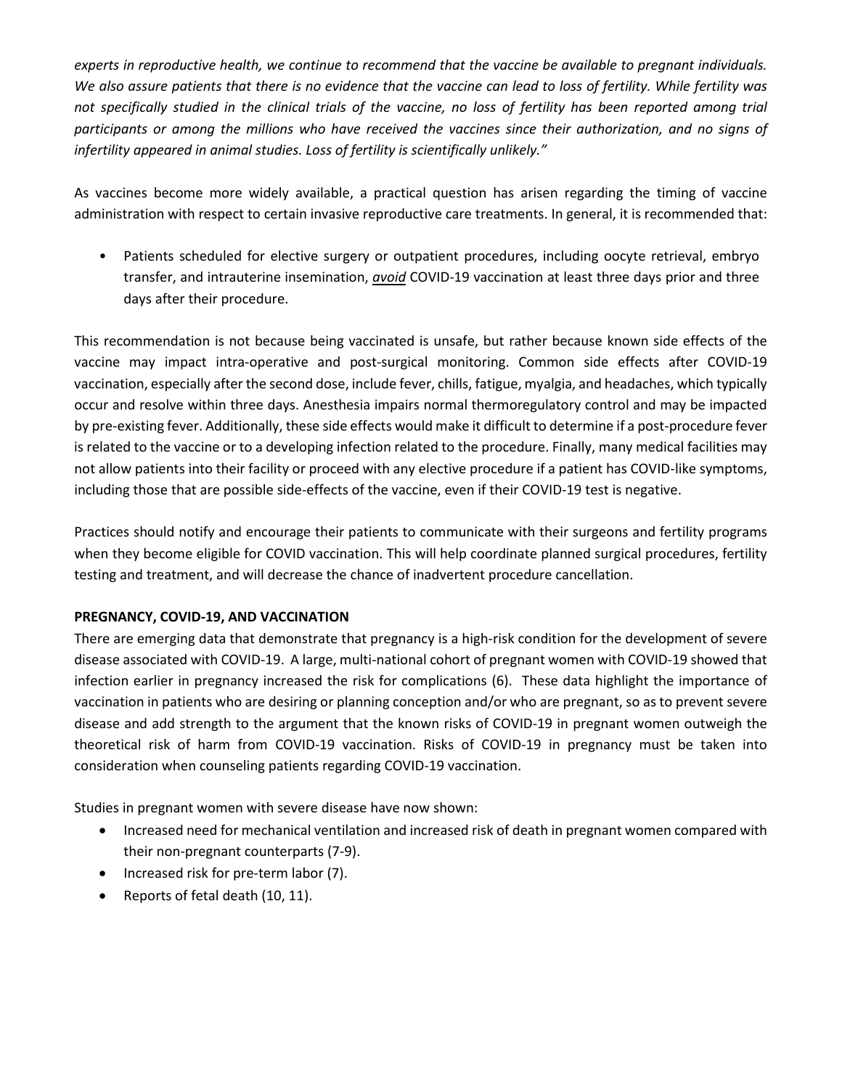*experts in reproductive health, we continue to recommend that the vaccine be available to pregnant individuals. We also assure patients that there is no evidence that the vaccine can lead to loss of fertility. While fertility was*  not specifically studied in the clinical trials of the vaccine, no loss of fertility has been reported among trial *participants or among the millions who have received the vaccines since their authorization, and no signs of infertility appeared in animal studies. Loss of fertility is scientifically unlikely."*

As vaccines become more widely available, a practical question has arisen regarding the timing of vaccine administration with respect to certain invasive reproductive care treatments. In general, it is recommended that:

Patients scheduled for elective surgery or outpatient procedures, including oocyte retrieval, embryo transfer, and intrauterine insemination, *avoid* COVID-19 vaccination at least three days prior and three days after their procedure.

This recommendation is not because being vaccinated is unsafe, but rather because known side effects of the vaccine may impact intra-operative and post-surgical monitoring. Common side effects after COVID-19 vaccination, especially after the second dose, include fever, chills, fatigue, myalgia, and headaches, which typically occur and resolve within three days. Anesthesia impairs normal thermoregulatory control and may be impacted by pre-existing fever. Additionally, these side effects would make it difficult to determine if a post-procedure fever is related to the vaccine or to a developing infection related to the procedure. Finally, many medical facilities may not allow patients into their facility or proceed with any elective procedure if a patient has COVID-like symptoms, including those that are possible side-effects of the vaccine, even if their COVID-19 test is negative.

Practices should notify and encourage their patients to communicate with their surgeons and fertility programs when they become eligible for COVID vaccination. This will help coordinate planned surgical procedures, fertility testing and treatment, and will decrease the chance of inadvertent procedure cancellation.

### **PREGNANCY, COVID-19, AND VACCINATION**

There are emerging data that demonstrate that pregnancy is a high-risk condition for the development of severe disease associated with COVID-19. A large, multi-national cohort of pregnant women with COVID-19 showed that infection earlier in pregnancy increased the risk for complications (6). These data highlight the importance of vaccination in patients who are desiring or planning conception and/or who are pregnant, so as to prevent severe disease and add strength to the argument that the known risks of COVID-19 in pregnant women outweigh the theoretical risk of harm from COVID-19 vaccination. Risks of COVID-19 in pregnancy must be taken into consideration when counseling patients regarding COVID-19 vaccination.

Studies in pregnant women with severe disease have now shown:

- Increased need for mechanical ventilation and increased risk of death in pregnant women compared with their non-pregnant counterparts (7-9).
- Increased risk for pre-term labor (7).
- Reports of fetal death (10, 11).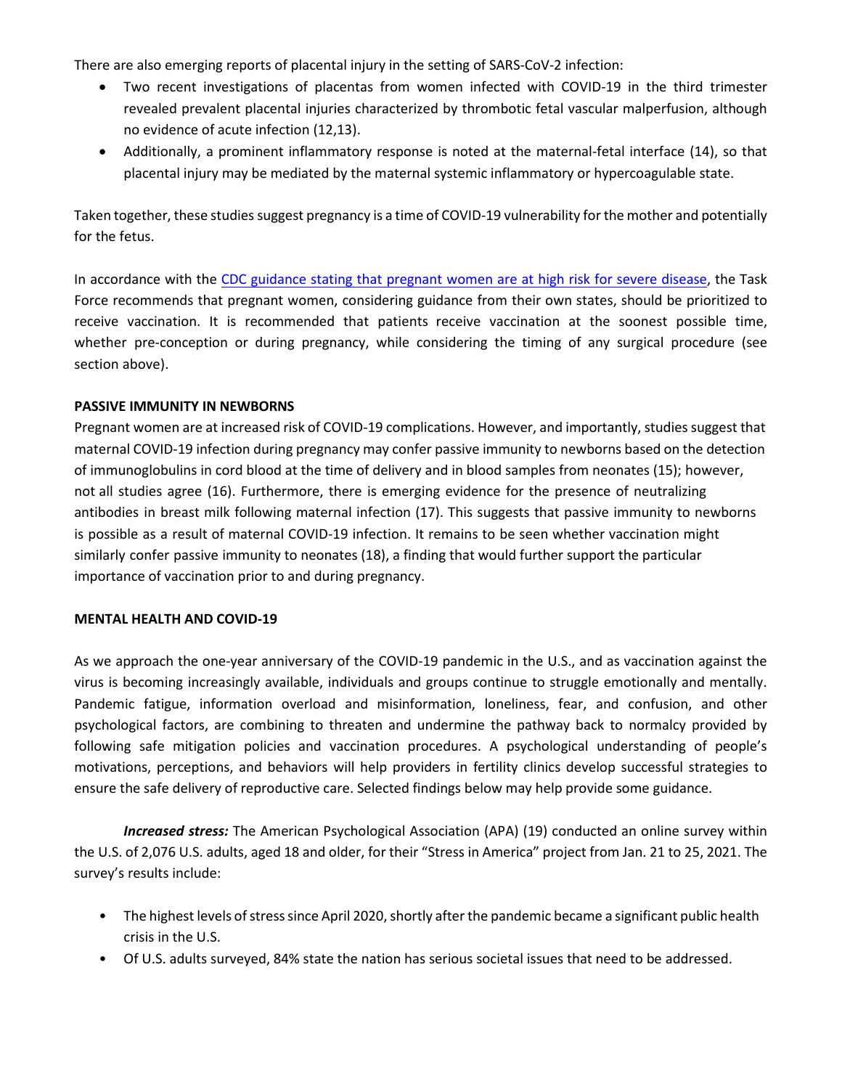There are also emerging reports of placental injury in the setting of SARS-CoV-2 infection:

- Two recent investigations of placentas from women infected with COVID-19 in the third trimester revealed prevalent placental injuries characterized by thrombotic fetal vascular malperfusion, although no evidence of acute infection (12,13).
- Additionally, a prominent inflammatory response is noted at the maternal-fetal interface (14), so that placental injury may be mediated by the maternal systemic inflammatory or hypercoagulable state.

Taken together, these studies suggest pregnancy is a time of COVID-19 vulnerability for the mother and potentially for the fetus.

In accordance with the [CDC guidance stating that pregnant women are at high risk for severe disease,](https://www.cdc.gov/coronavirus/2019-ncov/need-extra-precautions/people-with-medical-conditions.html) the Task Force recommends that pregnant women, considering guidance from their own states, should be prioritized to receive vaccination. It is recommended that patients receive vaccination at the soonest possible time, whether pre-conception or during pregnancy, while considering the timing of any surgical procedure (see section above).

#### **PASSIVE IMMUNITY IN NEWBORNS**

Pregnant women are at increased risk of COVID-19 complications. However, and importantly, studies suggest that maternal COVID-19 infection during pregnancy may confer passive immunity to newborns based on the detection of immunoglobulins in cord blood at the time of delivery and in blood samples from neonates (15); however, not all studies agree (16). Furthermore, there is emerging evidence for the presence of neutralizing antibodies in breast milk following maternal infection (17). This suggests that passive immunity to newborns is possible as a result of maternal COVID-19 infection. It remains to be seen whether vaccination might similarly confer passive immunity to neonates (18), a finding that would further support the particular importance of vaccination prior to and during pregnancy.

#### **MENTAL HEALTH AND COVID-19**

As we approach the one-year anniversary of the COVID-19 pandemic in the U.S., and as vaccination against the virus is becoming increasingly available, individuals and groups continue to struggle emotionally and mentally. Pandemic fatigue, information overload and misinformation, loneliness, fear, and confusion, and other psychological factors, are combining to threaten and undermine the pathway back to normalcy provided by following safe mitigation policies and vaccination procedures. A psychological understanding of people's motivations, perceptions, and behaviors will help providers in fertility clinics develop successful strategies to ensure the safe delivery of reproductive care. Selected findings below may help provide some guidance.

*Increased stress:* The American Psychological Association (APA) (19) conducted an online survey within the U.S. of 2,076 U.S. adults, aged 18 and older, for their "Stress in America" project from Jan. 21 to 25, 2021. The survey's results include:

- The highest levels of stress since April 2020, shortly after the pandemic became a significant public health crisis in the U.S.
- Of U.S. adults surveyed, 84% state the nation has serious societal issues that need to be addressed.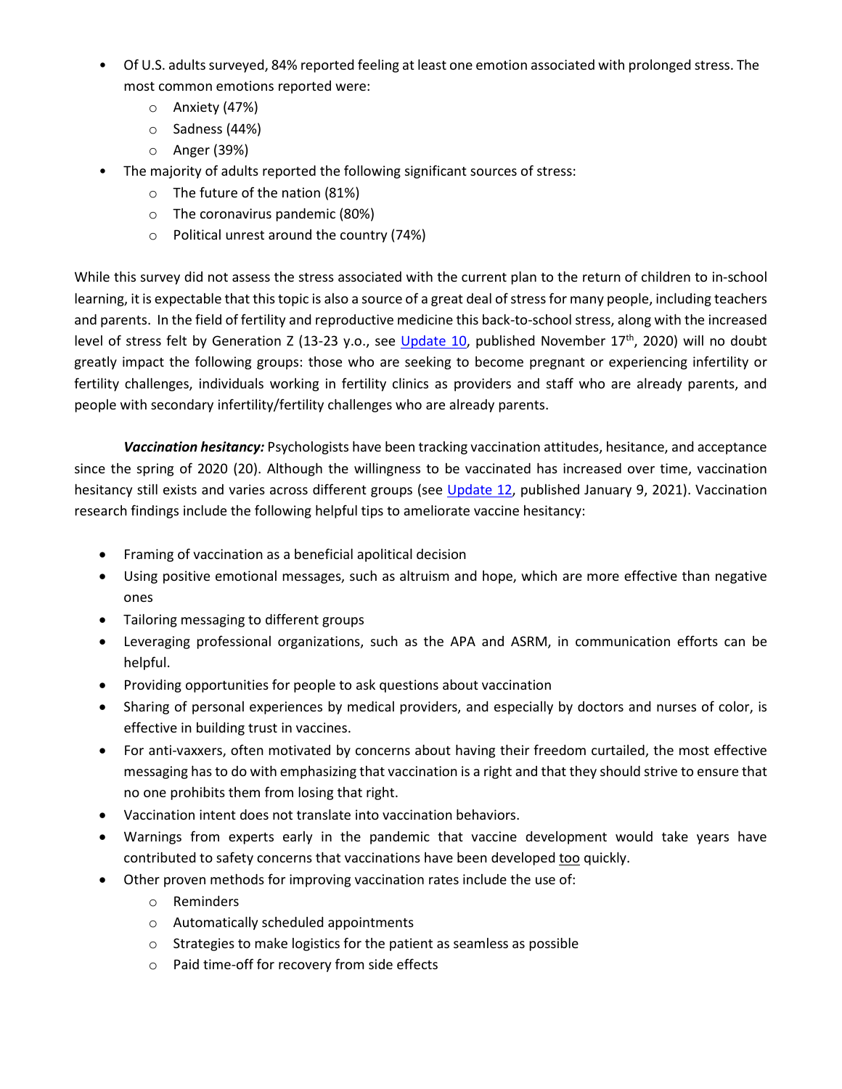- Of U.S. adults surveyed, 84% reported feeling at least one emotion associated with prolonged stress. The most common emotions reported were:
	- o Anxiety (47%)
	- o Sadness (44%)
	- o Anger (39%)
- The majority of adults reported the following significant sources of stress:
	- o The future of the nation (81%)
	- o The coronavirus pandemic (80%)
	- o Political unrest around the country (74%)

While this survey did not assess the stress associated with the current plan to the return of children to in-school learning, it is expectable that this topic is also a source of a great deal of stress for many people, including teachers and parents. In the field of fertility and reproductive medicine this back-to-school stress, along with the increased level of stress felt by Generation Z (13-23 y.o., see [Update 10,](https://www.asrm.org/globalassets/asrm/asrm-content/news-and-publications/covid-19/covidtaskforceupdate10.pdf) published November 17<sup>th</sup>, 2020) will no doubt greatly impact the following groups: those who are seeking to become pregnant or experiencing infertility or fertility challenges, individuals working in fertility clinics as providers and staff who are already parents, and people with secondary infertility/fertility challenges who are already parents.

*Vaccination hesitancy:* Psychologists have been tracking vaccination attitudes, hesitance, and acceptance since the spring of 2020 (20). Although the willingness to be vaccinated has increased over time, vaccination hesitancy still exists and varies across different groups (see [Update 12,](https://www.asrm.org/globalassets/asrm/asrm-content/news-and-publications/covid-19/covidtaskforceupdate12.pdf) published January 9, 2021). Vaccination research findings include the following helpful tips to ameliorate vaccine hesitancy:

- Framing of vaccination as a beneficial apolitical decision
- Using positive emotional messages, such as altruism and hope, which are more effective than negative ones
- Tailoring messaging to different groups
- Leveraging professional organizations, such as the APA and ASRM, in communication efforts can be helpful.
- Providing opportunities for people to ask questions about vaccination
- Sharing of personal experiences by medical providers, and especially by doctors and nurses of color, is effective in building trust in vaccines.
- For anti-vaxxers, often motivated by concerns about having their freedom curtailed, the most effective messaging has to do with emphasizing that vaccination is a right and that they should strive to ensure that no one prohibits them from losing that right.
- Vaccination intent does not translate into vaccination behaviors.
- Warnings from experts early in the pandemic that vaccine development would take years have contributed to safety concerns that vaccinations have been developed too quickly.
- Other proven methods for improving vaccination rates include the use of:
	- o Reminders
	- o Automatically scheduled appointments
	- o Strategies to make logistics for the patient as seamless as possible
	- o Paid time-off for recovery from side effects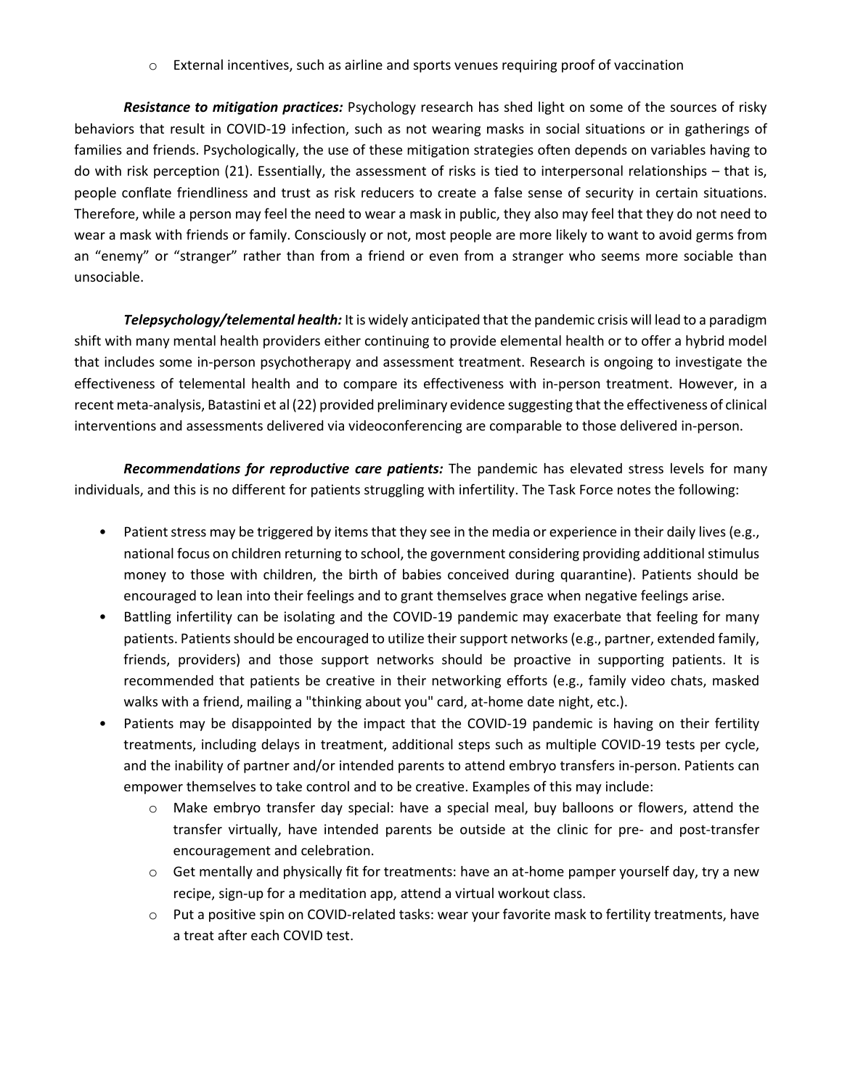$\circ$  External incentives, such as airline and sports venues requiring proof of vaccination

*Resistance to mitigation practices:* Psychology research has shed light on some of the sources of risky behaviors that result in COVID-19 infection, such as not wearing masks in social situations or in gatherings of families and friends. Psychologically, the use of these mitigation strategies often depends on variables having to do with risk perception (21). Essentially, the assessment of risks is tied to interpersonal relationships – that is, people conflate friendliness and trust as risk reducers to create a false sense of security in certain situations. Therefore, while a person may feel the need to wear a mask in public, they also may feel that they do not need to wear a mask with friends or family. Consciously or not, most people are more likely to want to avoid germs from an "enemy" or "stranger" rather than from a friend or even from a stranger who seems more sociable than unsociable.

*Telepsychology/telemental health:* It is widely anticipated that the pandemic crisis will lead to a paradigm shift with many mental health providers either continuing to provide elemental health or to offer a hybrid model that includes some in-person psychotherapy and assessment treatment. Research is ongoing to investigate the effectiveness of telemental health and to compare its effectiveness with in-person treatment. However, in a recent meta-analysis, Batastini et al (22) provided preliminary evidence suggesting that the effectiveness of clinical interventions and assessments delivered via videoconferencing are comparable to those delivered in-person.

*Recommendations for reproductive care patients:* The pandemic has elevated stress levels for many individuals, and this is no different for patients struggling with infertility. The Task Force notes the following:

- Patient stress may be triggered by items that they see in the media or experience in their daily lives (e.g., national focus on children returning to school, the government considering providing additional stimulus money to those with children, the birth of babies conceived during quarantine). Patients should be encouraged to lean into their feelings and to grant themselves grace when negative feelings arise.
- Battling infertility can be isolating and the COVID-19 pandemic may exacerbate that feeling for many patients. Patients should be encouraged to utilize their support networks (e.g., partner, extended family, friends, providers) and those support networks should be proactive in supporting patients. It is recommended that patients be creative in their networking efforts (e.g., family video chats, masked walks with a friend, mailing a "thinking about you" card, at-home date night, etc.).
- Patients may be disappointed by the impact that the COVID-19 pandemic is having on their fertility treatments, including delays in treatment, additional steps such as multiple COVID-19 tests per cycle, and the inability of partner and/or intended parents to attend embryo transfers in-person. Patients can empower themselves to take control and to be creative. Examples of this may include:
	- o Make embryo transfer day special: have a special meal, buy balloons or flowers, attend the transfer virtually, have intended parents be outside at the clinic for pre- and post-transfer encouragement and celebration.
	- $\circ$  Get mentally and physically fit for treatments: have an at-home pamper yourself day, try a new recipe, sign-up for a meditation app, attend a virtual workout class.
	- o Put a positive spin on COVID-related tasks: wear your favorite mask to fertility treatments, have a treat after each COVID test.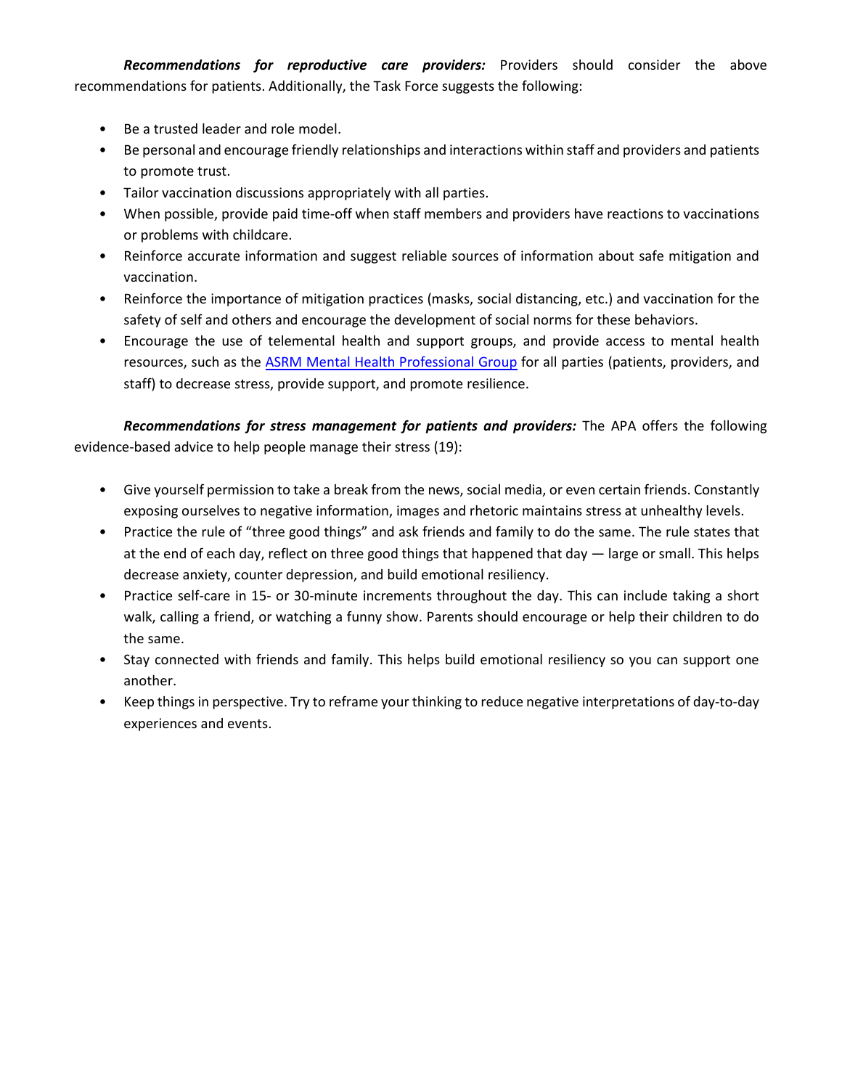*Recommendations for reproductive care providers:* Providers should consider the above recommendations for patients. Additionally, the Task Force suggests the following:

- Be a trusted leader and role model.
- Be personal and encourage friendly relationships and interactions within staff and providers and patients to promote trust.
- Tailor vaccination discussions appropriately with all parties.
- When possible, provide paid time-off when staff members and providers have reactions to vaccinations or problems with childcare.
- Reinforce accurate information and suggest reliable sources of information about safe mitigation and vaccination.
- Reinforce the importance of mitigation practices (masks, social distancing, etc.) and vaccination for the safety of self and others and encourage the development of social norms for these behaviors.
- Encourage the use of telemental health and support groups, and provide access to mental health resources, such as the **ASRM Mental Health Professional Group** for all parties (patients, providers, and staff) to decrease stress, provide support, and promote resilience.

*Recommendations for stress management for patients and providers:* The APA offers the following evidence-based advice to help people manage their stress (19):

- Give yourself permission to take a break from the news, social media, or even certain friends. Constantly exposing ourselves to negative information, images and rhetoric maintains stress at unhealthy levels.
- Practice the rule of "three good things" and ask friends and family to do the same. The rule states that at the end of each day, reflect on three good things that happened that day — large or small. This helps decrease anxiety, counter depression, and build emotional resiliency.
- Practice self-care in 15- or 30-minute increments throughout the day. This can include taking a short walk, calling a friend, or watching a funny show. Parents should encourage or help their children to do the same.
- Stay connected with friends and family. This helps build emotional resiliency so you can support one another.
- Keep things in perspective. Try to reframe your thinking to reduce negative interpretations of day-to-day experiences and events.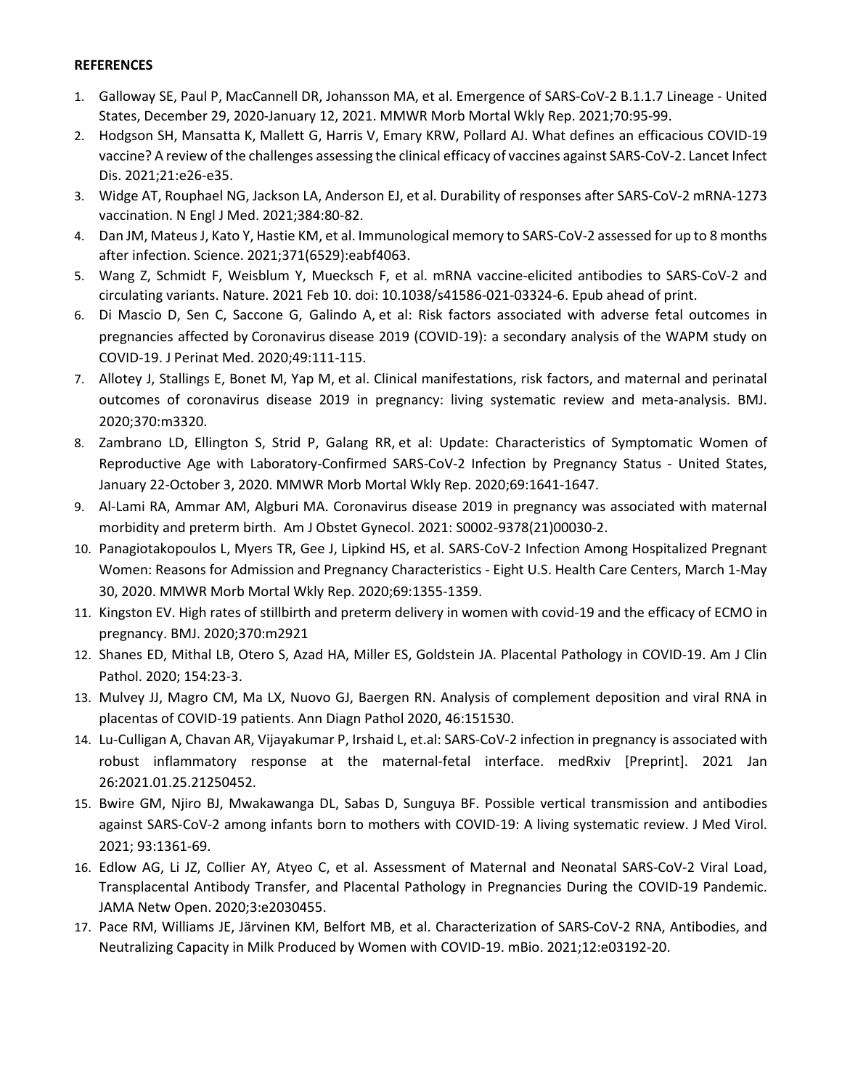#### **REFERENCES**

- 1. Galloway SE, Paul P, MacCannell DR, Johansson MA, et al. Emergence of SARS-CoV-2 B.1.1.7 Lineage United States, December 29, 2020-January 12, 2021. MMWR Morb Mortal Wkly Rep. 2021;70:95-99.
- 2. Hodgson SH, Mansatta K, Mallett G, Harris V, Emary KRW, Pollard AJ. What defines an efficacious COVID-19 vaccine? A review of the challenges assessing the clinical efficacy of vaccines against SARS-CoV-2. Lancet Infect Dis. 2021;21:e26-e35.
- 3. Widge AT, Rouphael NG, Jackson LA, Anderson EJ, et al. Durability of responses after SARS-CoV-2 mRNA-1273 vaccination. N Engl J Med. 2021;384:80-82.
- 4. Dan JM, Mateus J, Kato Y, Hastie KM, et al. Immunological memory to SARS-CoV-2 assessed for up to 8 months after infection. Science. 2021;371(6529):eabf4063.
- 5. Wang Z, Schmidt F, Weisblum Y, Muecksch F, et al. mRNA vaccine-elicited antibodies to SARS-CoV-2 and circulating variants. Nature. 2021 Feb 10. doi: 10.1038/s41586-021-03324-6. Epub ahead of print.
- 6. Di Mascio D, Sen C, Saccone G, Galindo A, et al: [Risk factors associated with adverse fetal outcomes in](https://pubmed.ncbi.nlm.nih.gov/33470966/)  pregnancies affected by Coronavirus [disease 2019 \(COVID-19\): a secondary analysis of the WAPM study on](https://pubmed.ncbi.nlm.nih.gov/33470966/)  [COVID-19.](https://pubmed.ncbi.nlm.nih.gov/33470966/) J Perinat Med. 2020;49:111-115.
- 7. Allotey J, Stallings E, Bonet M, Yap M, et al. [Clinical manifestations, risk factors, and maternal and perinatal](https://pubmed.ncbi.nlm.nih.gov/32873575/)  [outcomes of coronavirus disease 2019 in pregnancy: living systematic review and meta-analysis.](https://pubmed.ncbi.nlm.nih.gov/32873575/) BMJ. 2020;370:m3320.
- 8. Zambrano LD, Ellington S, Strid P, Galang RR, et al: [Update: Characteristics of Symptomatic Women of](https://pubmed.ncbi.nlm.nih.gov/33151921/)  [Reproductive Age with Laboratory-Confirmed SARS-CoV-2 Infection by Pregnancy Status -](https://pubmed.ncbi.nlm.nih.gov/33151921/) United States, [January 22-October 3,](https://pubmed.ncbi.nlm.nih.gov/33151921/) 2020. MMWR Morb Mortal Wkly Rep. 2020;69:1641-1647.
- 9. [Al-Lami](https://pubmed.ncbi.nlm.nih.gov/?term=Al-Lami+RA&cauthor_id=33476599) RA, [Ammar AM, Algburi](https://pubmed.ncbi.nlm.nih.gov/?term=Algburi+AMA&cauthor_id=33476599) MA. Coronavirus disease 2019 in pregnancy was associated with maternal morbidity and preterm birth. Am J Obstet Gynecol. 2021: S0002-9378(21)00030-2.
- 10. Panagiotakopoulos L, Myers TR, Gee J, Lipkind HS, et al. [SARS-CoV-2 Infection Among Hospitalized Pregnant](https://pubmed.ncbi.nlm.nih.gov/32970660/)  [Women: Reasons for Admission and Pregnancy Characteristics -](https://pubmed.ncbi.nlm.nih.gov/32970660/) Eight U.S. Health Care Centers, March 1-May 30, [2020.](https://pubmed.ncbi.nlm.nih.gov/32970660/) MMWR Morb Mortal Wkly Rep. 2020;69:1355-1359.
- 11. Kingston EV. High rates of stillbirth and preterm delivery in women with covid-19 and the efficacy of ECMO in pregnancy. BMJ. 2020;370:m2921
- 12. Shanes ED, Mithal LB, Otero S, Azad HA, Miller ES, Goldstein JA. Placental Pathology in COVID-19. Am J Clin Pathol. 2020; 154:23-3.
- 13. Mulvey JJ, Magro CM, Ma LX, Nuovo GJ, Baergen RN. Analysis of complement deposition and viral RNA in placentas of COVID-19 patients. Ann Diagn Pathol 2020, 46:151530.
- 14. Lu-Culligan A, Chavan AR, Vijayakumar P, Irshaid L, et.al: SARS-CoV-2 infection in pregnancy is associated with robust inflammatory response at the maternal-fetal interface. medRxiv [Preprint]. 2021 Jan 26:2021.01.25.21250452.
- 15. Bwire GM, Njiro BJ, Mwakawanga DL, Sabas D, Sunguya BF. Possible vertical transmission and antibodies against SARS-CoV-2 among infants born to mothers with COVID-19: A living systematic review. J Med Virol. 2021; 93:1361-69.
- 16. Edlow AG, Li JZ, Collier AY, Atyeo C, et al. Assessment of Maternal and Neonatal SARS-CoV-2 Viral Load, Transplacental Antibody Transfer, and Placental Pathology in Pregnancies During the COVID-19 Pandemic. JAMA Netw Open. 2020;3:e2030455.
- 17. Pace RM, Williams JE, Järvinen KM, Belfort MB, et al. Characterization of SARS-CoV-2 RNA, Antibodies, and Neutralizing Capacity in Milk Produced by Women with COVID-19. mBio. 2021;12:e03192-20.